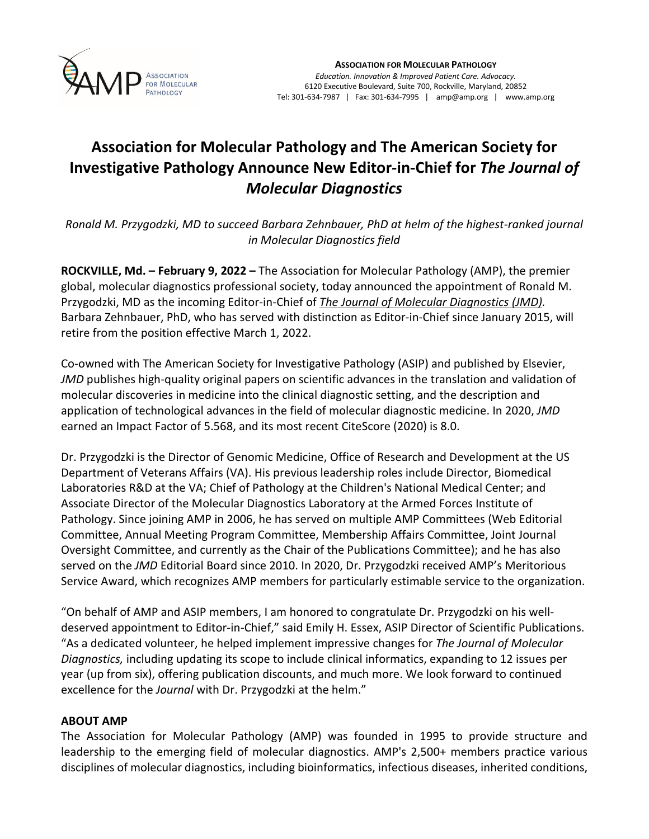

## **Association for Molecular Pathology and The American Society for Investigative Pathology Announce New Editor-in-Chief for** *The Journal of Molecular Diagnostics*

*Ronald M. Przygodzki, MD to succeed Barbara Zehnbauer, PhD at helm of the highest-ranked journal in Molecular Diagnostics field*

**ROCKVILLE, Md. – February 9, 2022 –** The Association for Molecular Pathology (AMP), the premier global, molecular diagnostics professional society, today announced the appointment of Ronald M. Przygodzki, MD as the incoming Editor-in-Chief of *The Journal of Molecular [Diagnostics](https://www.jmdjournal.org/) (JMD).* Barbara Zehnbauer, PhD, who has served with distinction as Editor-in-Chief since January 2015, will retire from the position effective March 1, 2022.

Co-owned with The American Society for Investigative Pathology (ASIP) and published by Elsevier, *JMD* publishes high-quality original papers on scientific advances in the translation and validation of molecular discoveries in medicine into the clinical diagnostic setting, and the description and application of technological advances in the field of molecular diagnostic medicine. In 2020, *JMD* earned an Impact Factor of 5.568, and its most recent CiteScore (2020) is 8.0.

Dr. Przygodzki is the Director of Genomic Medicine, Office of Research and Development at the US Department of Veterans Affairs (VA). His previous leadership roles include Director, Biomedical Laboratories R&D at the VA; Chief of Pathology at the Children's National Medical Center; and Associate Director of the Molecular Diagnostics Laboratory at the Armed Forces Institute of Pathology. Since joining AMP in 2006, he has served on multiple AMP Committees (Web Editorial Committee, Annual Meeting Program Committee, Membership Affairs Committee, Joint Journal Oversight Committee, and currently as the Chair of the Publications Committee); and he has also served on the *JMD* Editorial Board since 2010. In 2020, Dr. Przygodzki received AMP's Meritorious Service Award, which recognizes AMP members for particularly estimable service to the organization.

"On behalf of AMP and ASIP members, I am honored to congratulate Dr. Przygodzki on his welldeserved appointment to Editor-in-Chief," said Emily H. Essex, ASIP Director of Scientific Publications. "As a dedicated volunteer, he helped implement impressive changes for *The Journal of Molecular Diagnostics,* including updating its scope to include clinical informatics, expanding to 12 issues per year (up from six), offering publication discounts, and much more. We look forward to continued excellence for the *Journal* with Dr. Przygodzki at the helm."

## **ABOUT AMP**

The Association for Molecular Pathology (AMP) was founded in 1995 to provide structure and leadership to the emerging field of molecular diagnostics. AMP's 2,500+ members practice various disciplines of molecular diagnostics, including bioinformatics, infectious diseases, inherited conditions,